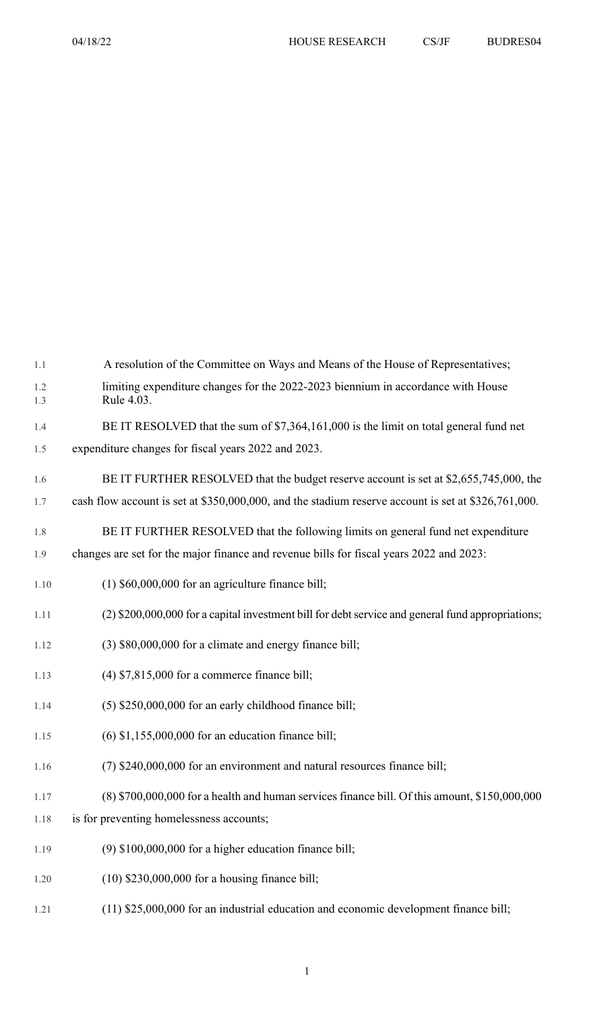| 1.1        | A resolution of the Committee on Ways and Means of the House of Representatives;                    |
|------------|-----------------------------------------------------------------------------------------------------|
| 1.2<br>1.3 | limiting expenditure changes for the 2022-2023 biennium in accordance with House<br>Rule 4.03.      |
| 1.4        | BE IT RESOLVED that the sum of \$7,364,161,000 is the limit on total general fund net               |
| 1.5        | expenditure changes for fiscal years 2022 and 2023.                                                 |
| 1.6        | BE IT FURTHER RESOLVED that the budget reserve account is set at \$2,655,745,000, the               |
| 1.7        | cash flow account is set at \$350,000,000, and the stadium reserve account is set at \$326,761,000. |
| 1.8        | BE IT FURTHER RESOLVED that the following limits on general fund net expenditure                    |
| 1.9        | changes are set for the major finance and revenue bills for fiscal years 2022 and 2023:             |
| 1.10       | $(1)$ \$60,000,000 for an agriculture finance bill;                                                 |
| 1.11       | (2) \$200,000,000 for a capital investment bill for debt service and general fund appropriations;   |
| 1.12       | (3) \$80,000,000 for a climate and energy finance bill;                                             |
| 1.13       | $(4)$ \$7,815,000 for a commerce finance bill;                                                      |
| 1.14       | (5) \$250,000,000 for an early childhood finance bill;                                              |
| 1.15       | $(6)$ \$1,155,000,000 for an education finance bill;                                                |
| 1.16       | (7) \$240,000,000 for an environment and natural resources finance bill;                            |
| 1.17       | (8) \$700,000,000 for a health and human services finance bill. Of this amount, \$150,000,000       |
| 1.18       | is for preventing homelessness accounts;                                                            |
| 1.19       | $(9)$ \$100,000,000 for a higher education finance bill;                                            |
| 1.20       | $(10)$ \$230,000,000 for a housing finance bill;                                                    |

1.21 (11) \$25,000,000 for an industrial education and economic development finance bill;